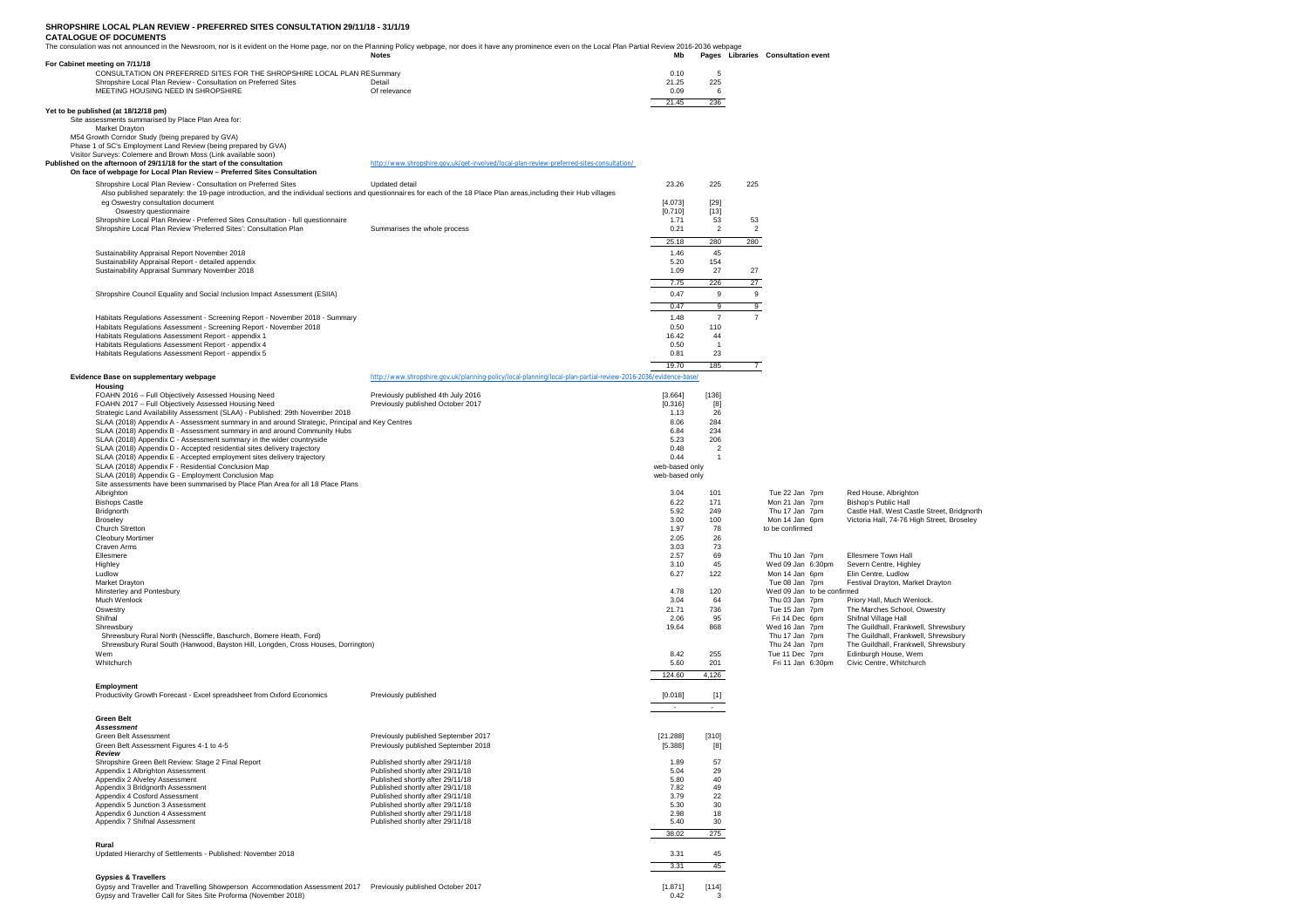## **SHROPSHIRE LOCAL PLAN REVIEW - PREFERRED SITES CONSULTATION 29/11/18 - 31/1/19**

## **CATALOGUE OF DOCUMENTS**

| The consulation was not announced in the Newsroom, nor is it evident on the Home page, nor on the Planning Policy webpage, nor does it have any prominence even on the Local Plan Partial Review 2016-2036 webpage | <b>Notes</b>                                                                                                   | Mb              |                                                                                                                                                              |                   | Pages Libraries Consultation event           |                                                                                           |
|--------------------------------------------------------------------------------------------------------------------------------------------------------------------------------------------------------------------|----------------------------------------------------------------------------------------------------------------|-----------------|--------------------------------------------------------------------------------------------------------------------------------------------------------------|-------------------|----------------------------------------------|-------------------------------------------------------------------------------------------|
| For Cabinet meeting on 7/11/18                                                                                                                                                                                     |                                                                                                                |                 |                                                                                                                                                              |                   |                                              |                                                                                           |
| CONSULTATION ON PREFERRED SITES FOR THE SHROPSHIRE LOCAL PLAN RESummary<br>Shropshire Local Plan Review - Consultation on Preferred Sites                                                                          | Detail                                                                                                         | 0.10<br>21.25   | 5<br>225                                                                                                                                                     |                   |                                              |                                                                                           |
| MEETING HOUSING NEED IN SHROPSHIRE                                                                                                                                                                                 | Of relevance                                                                                                   | 0.09            | 6                                                                                                                                                            |                   |                                              |                                                                                           |
|                                                                                                                                                                                                                    |                                                                                                                | 21.45           | 236                                                                                                                                                          |                   |                                              |                                                                                           |
| Yet to be published (at 18/12/18 pm)<br>Site assessments summarised by Place Plan Area for:                                                                                                                        |                                                                                                                |                 |                                                                                                                                                              |                   |                                              |                                                                                           |
| Market Drayton<br>M54 Growth Corridor Study (being prepared by GVA)                                                                                                                                                |                                                                                                                |                 |                                                                                                                                                              |                   |                                              |                                                                                           |
| Phase 1 of SC's Employment Land Review (being prepared by GVA)                                                                                                                                                     |                                                                                                                |                 |                                                                                                                                                              |                   |                                              |                                                                                           |
| Visitor Surveys: Colemere and Brown Moss (Link available soon)                                                                                                                                                     |                                                                                                                |                 |                                                                                                                                                              |                   |                                              |                                                                                           |
| Published on the afternoon of 29/11/18 for the start of the consultation<br>On face of webpage for Local Plan Review - Preferred Sites Consultation                                                                | http://www.shropshire.gov.uk/get-involved/local-plan-review-preferred-sites-consultation/                      |                 |                                                                                                                                                              |                   |                                              |                                                                                           |
| Shropshire Local Plan Review - Consultation on Preferred Sites                                                                                                                                                     | Updated detail                                                                                                 | 23.26           | 225                                                                                                                                                          | 225               |                                              |                                                                                           |
| Also published separately: the 19-page introduction, and the individual sections and questionnaires for each of the 18 Place Plan areas, including their Hub villages                                              |                                                                                                                |                 |                                                                                                                                                              |                   |                                              |                                                                                           |
| eg Oswestry consultation document                                                                                                                                                                                  |                                                                                                                | [4.073]         | $[29]$                                                                                                                                                       |                   |                                              |                                                                                           |
| Oswestry questionnaire<br>Shropshire Local Plan Review - Preferred Sites Consultation - full questionnaire                                                                                                         |                                                                                                                | [0.710]<br>1.71 | $[13]$<br>53                                                                                                                                                 | 53                |                                              |                                                                                           |
| Shropshire Local Plan Review 'Preferred Sites': Consultation Plan                                                                                                                                                  | Summarises the whole process                                                                                   | 0.21            | $\overline{2}$                                                                                                                                               | $\overline{2}$    |                                              |                                                                                           |
|                                                                                                                                                                                                                    |                                                                                                                | 25.18           | 280                                                                                                                                                          | 280               |                                              |                                                                                           |
| Sustainability Appraisal Report November 2018                                                                                                                                                                      |                                                                                                                | 1.46            | 45                                                                                                                                                           |                   |                                              |                                                                                           |
| Sustainability Appraisal Report - detailed appendix<br>Sustainability Appraisal Summary November 2018                                                                                                              |                                                                                                                | 5.20<br>1.09    | 154<br>27                                                                                                                                                    | 27                |                                              |                                                                                           |
|                                                                                                                                                                                                                    |                                                                                                                |                 |                                                                                                                                                              |                   |                                              |                                                                                           |
|                                                                                                                                                                                                                    |                                                                                                                | 7.75<br>0.47    | 226<br>$_{9}$                                                                                                                                                | 27<br>$\mathsf g$ |                                              |                                                                                           |
| Shropshire Council Equality and Social Inclusion Impact Assessment (ESIIA)                                                                                                                                         |                                                                                                                |                 |                                                                                                                                                              | $\overline{9}$    |                                              |                                                                                           |
|                                                                                                                                                                                                                    |                                                                                                                | 0.47<br>1.48    | 9<br>$\overline{7}$                                                                                                                                          | $\overline{7}$    |                                              |                                                                                           |
| Habitats Regulations Assessment - Screening Report - November 2018 - Summary<br>Habitats Regulations Assessment - Screening Report - November 2018                                                                 |                                                                                                                | 0.50            | 110                                                                                                                                                          |                   |                                              |                                                                                           |
| Habitats Regulations Assessment Report - appendix 1                                                                                                                                                                |                                                                                                                | 16.42           | 44                                                                                                                                                           |                   |                                              |                                                                                           |
| Habitats Regulations Assessment Report - appendix 4                                                                                                                                                                |                                                                                                                | 0.50<br>0.81    | $\overline{1}$<br>23                                                                                                                                         |                   |                                              |                                                                                           |
| Habitats Regulations Assessment Report - appendix 5                                                                                                                                                                |                                                                                                                | 19.70           | 185                                                                                                                                                          |                   |                                              |                                                                                           |
|                                                                                                                                                                                                                    |                                                                                                                |                 |                                                                                                                                                              | $\overline{7}$    |                                              |                                                                                           |
| Evidence Base on supplementary webpage<br>Housing                                                                                                                                                                  | http://www.shropshire.gov.uk/planning-policy/local-planning/local-plan-partial-review-2016-2036/evidence-base/ |                 |                                                                                                                                                              |                   |                                              |                                                                                           |
| FOAHN 2016 - Full Objectively Assessed Housing Need                                                                                                                                                                | Previously published 4th July 2016                                                                             | [3.664]         | [136]                                                                                                                                                        |                   |                                              |                                                                                           |
| FOAHN 2017 - Full Objectively Assessed Housing Need                                                                                                                                                                | Previously published October 2017                                                                              | [0.316]         | [8]<br>26                                                                                                                                                    |                   |                                              |                                                                                           |
| Strategic Land Availability Assessment (SLAA) - Published: 29th November 2018<br>SLAA (2018) Appendix A - Assessment summary in and around Strategic, Principal and Key Centres                                    |                                                                                                                | 1.13<br>8.06    | 284                                                                                                                                                          |                   |                                              |                                                                                           |
| SLAA (2018) Appendix B - Assessment summary in and around Community Hubs                                                                                                                                           |                                                                                                                | 6.84            | 234                                                                                                                                                          |                   |                                              |                                                                                           |
| SLAA (2018) Appendix C - Assessment summary in the wider countryside<br>SLAA (2018) Appendix D - Accepted residential sites delivery trajectory                                                                    |                                                                                                                | 5.23<br>0.48    | 206<br>$\overline{2}$                                                                                                                                        |                   |                                              |                                                                                           |
| SLAA (2018) Appendix E - Accepted employment sites delivery trajectory                                                                                                                                             |                                                                                                                | 0.44            | $\mathbf{1}$                                                                                                                                                 |                   |                                              |                                                                                           |
| SLAA (2018) Appendix F - Residential Conclusion Map                                                                                                                                                                |                                                                                                                | web-based only  |                                                                                                                                                              |                   |                                              |                                                                                           |
| SLAA (2018) Appendix G - Employment Conclusion Map<br>Site assessments have been summarised by Place Plan Area for all 18 Place Plans                                                                              |                                                                                                                | web-based only  |                                                                                                                                                              |                   |                                              |                                                                                           |
| Albrighton                                                                                                                                                                                                         |                                                                                                                | 3.04            | 101                                                                                                                                                          |                   | Tue 22 Jan 7pm                               | Red House, Albrighton                                                                     |
| <b>Bishops Castle</b>                                                                                                                                                                                              |                                                                                                                | 6.22            | 171                                                                                                                                                          |                   | Mon 21 Jan 7pm                               | <b>Bishop's Public Hall</b>                                                               |
| Bridgnorth                                                                                                                                                                                                         |                                                                                                                | 5.92<br>3.00    | 249<br>100                                                                                                                                                   |                   | Thu 17 Jan 7pm<br>Mon 14 Jan 6pm             | Castle Hall, West Castle Street, Bridgnorth<br>Victoria Hall, 74-76 High Street, Broseley |
| Broseley<br>Church Stretton                                                                                                                                                                                        |                                                                                                                | 1.97            | 78                                                                                                                                                           |                   | to be confirmed                              |                                                                                           |
| Cleobury Mortimer                                                                                                                                                                                                  |                                                                                                                | 2.05            | 26                                                                                                                                                           |                   |                                              |                                                                                           |
| Craven Arms<br>Ellesmere                                                                                                                                                                                           |                                                                                                                | 3.03<br>2.57    | 73<br>69                                                                                                                                                     |                   | Thu 10 Jan 7pm                               | Ellesmere Town Hall                                                                       |
| Highley                                                                                                                                                                                                            |                                                                                                                | 3.10            | 45                                                                                                                                                           |                   | Wed 09 Jan 6:30pm                            | Severn Centre, Highley                                                                    |
| Ludlow                                                                                                                                                                                                             |                                                                                                                | 6.27            | 122                                                                                                                                                          |                   | Mon 14 Jan 6pm                               | Elin Centre, Ludlow                                                                       |
| Market Drayton<br>Minsterley and Pontesbury                                                                                                                                                                        |                                                                                                                | 4.78            | 120                                                                                                                                                          |                   | Tue 08 Jan 7pm<br>Wed 09 Jan to be confirmed | Festival Drayton, Market Drayton                                                          |
| Much Wenlock                                                                                                                                                                                                       |                                                                                                                | 3.04            | 64                                                                                                                                                           |                   | Thu 03 Jan 7pm                               | Priory Hall, Much Wenlock.                                                                |
| Oswestry                                                                                                                                                                                                           |                                                                                                                | 21.71           | 736                                                                                                                                                          |                   | Tue 15 Jan 7pm                               | The Marches School, Oswestry                                                              |
| Shifnal                                                                                                                                                                                                            |                                                                                                                | 2.06<br>19.64   | 95<br>868                                                                                                                                                    |                   | Fri 14 Dec 6pm<br>Wed 16 Jan 7pm             | Shifnal Village Hall<br>The Guildhall, Frankwell, Shrewsbury                              |
| Shrewsbury<br>Shrewsbury Rural North (Nesscliffe, Baschurch, Bomere Heath, Ford)                                                                                                                                   |                                                                                                                |                 |                                                                                                                                                              |                   | Thu 17 Jan 7pm                               | The Guildhall, Frankwell, Shrewsbury                                                      |
| Shrewsbury Rural South (Hanwood, Bayston Hill, Longden, Cross Houses, Dorrington)                                                                                                                                  |                                                                                                                |                 |                                                                                                                                                              |                   | Thu 24 Jan 7pm                               | The Guildhall, Frankwell, Shrewsbury                                                      |
| Wem                                                                                                                                                                                                                |                                                                                                                | 8.42            | 255                                                                                                                                                          |                   | Tue 11 Dec 7pm                               | Edinburgh House, Wem<br>Civic Centre, Whitchurch                                          |
| Whitchurch                                                                                                                                                                                                         |                                                                                                                | 5.60            | 201                                                                                                                                                          |                   | Fri 11 Jan 6:30pm                            |                                                                                           |
|                                                                                                                                                                                                                    |                                                                                                                | 124.60          | 4,126                                                                                                                                                        |                   |                                              |                                                                                           |
| Employment<br>Productivity Growth Forecast - Excel spreadsheet from Oxford Economics                                                                                                                               | Previously published                                                                                           | [0.018]         | $[1]$                                                                                                                                                        |                   |                                              |                                                                                           |
|                                                                                                                                                                                                                    |                                                                                                                |                 |                                                                                                                                                              |                   |                                              |                                                                                           |
| <b>Green Belt</b>                                                                                                                                                                                                  |                                                                                                                |                 |                                                                                                                                                              |                   |                                              |                                                                                           |
| Assessment                                                                                                                                                                                                         |                                                                                                                |                 |                                                                                                                                                              |                   |                                              |                                                                                           |
| Green Belt Assessment                                                                                                                                                                                              | Previously published September 2017                                                                            | [21.288]        | [310]                                                                                                                                                        |                   |                                              |                                                                                           |
| Green Belt Assessment Figures 4-1 to 4-5<br>Review                                                                                                                                                                 | Previously published September 2018                                                                            | [5.388]         | $[8] % \includegraphics[width=0.9\columnwidth]{figures/fig_04a.pdf} \caption{Schematic plot of the top of the top of the top of the right.} \label{fig:2} %$ |                   |                                              |                                                                                           |
| Shropshire Green Belt Review: Stage 2 Final Report                                                                                                                                                                 | Published shortly after 29/11/18                                                                               | 1.89            | 57                                                                                                                                                           |                   |                                              |                                                                                           |
| Appendix 1 Albrighton Assessment<br>Appendix 2 Alveley Assessment                                                                                                                                                  | Published shortly after 29/11/18<br>Published shortly after 29/11/18                                           | 5.04<br>5.80    | 29<br>40                                                                                                                                                     |                   |                                              |                                                                                           |
| Appendix 3 Bridgnorth Assessment                                                                                                                                                                                   | Published shortly after 29/11/18                                                                               | 7.82            | 49                                                                                                                                                           |                   |                                              |                                                                                           |
| Appendix 4 Cosford Assessment                                                                                                                                                                                      | Published shortly after 29/11/18                                                                               | 3.79            | 22                                                                                                                                                           |                   |                                              |                                                                                           |
| Appendix 5 Junction 3 Assessment<br>Appendix 6 Junction 4 Assessment                                                                                                                                               | Published shortly after 29/11/18<br>Published shortly after 29/11/18                                           | 5.30<br>2.98    | 30<br>18                                                                                                                                                     |                   |                                              |                                                                                           |
| Appendix 7 Shifnal Assessment                                                                                                                                                                                      | Published shortly after 29/11/18                                                                               | 5.40            | 30                                                                                                                                                           |                   |                                              |                                                                                           |
|                                                                                                                                                                                                                    |                                                                                                                |                 |                                                                                                                                                              |                   |                                              |                                                                                           |
|                                                                                                                                                                                                                    |                                                                                                                | 38.02           | 275                                                                                                                                                          |                   |                                              |                                                                                           |
| Rural                                                                                                                                                                                                              |                                                                                                                |                 |                                                                                                                                                              |                   |                                              |                                                                                           |
| Updated Hierarchy of Settlements - Published: November 2018                                                                                                                                                        |                                                                                                                | 3.31            | 45                                                                                                                                                           |                   |                                              |                                                                                           |
|                                                                                                                                                                                                                    |                                                                                                                | 3.31            | 45                                                                                                                                                           |                   |                                              |                                                                                           |

Gypsy and Traveller and Travelling Showperson Accommodation Assessment 2017 Previously published October 2017 [1.871] [114] Gypsy and Traveller Call for Sites Site Proforma (November 2018) 0.42 3